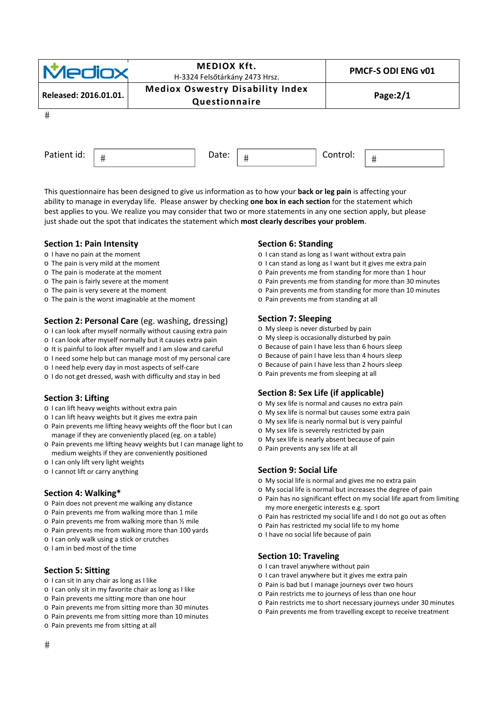| <b>Mediox</b>         | <b>MEDIOX Kft.</b><br>H-3324 Felsőtárkány 2473 Hrsz.     | PMCF-S ODI ENG v01 |
|-----------------------|----------------------------------------------------------|--------------------|
| Released: 2016.01.01. | <b>Mediox Oswestry Disability Index</b><br>Questionnaire | Page:2/1           |
| #                     |                                                          |                    |
| Patient id:<br>#      | Date:<br>#                                               | Control:<br>#      |

This questionnaire has been designed to give us information as to how your **back or leg pain** is affecting your ability to manage in everyday life. Please answer by checking **one box in each section** for the statement which best applies to you. We realize you may consider that two or more statements in any one section apply, but please just shade out the spot that indicates the statement which **most clearly describes your problem**.

#### **Section 1: Pain Intensity**

- o I have no pain at the moment
- o The pain is very mild at the moment
- o The pain is moderate at the moment
- o The pain is fairly severe at the moment
- o The pain is very severe at the moment
- o The pain is the worst imaginable at the moment

#### **Section 2: Personal Care** (eg. washing, dressing)

- o I can look after myself normally without causing extra pain
- o I can look after myself normally but it causes extra pain
- o It is painful to look after myself and I am slow and careful
- o I need some help but can manage most of my personal care
- o I need help every day in most aspects of self‐care
- o I do not get dressed, wash with difficulty and stay in bed

#### **Section 3: Lifting**

- o I can lift heavy weights without extra pain
- o I can lift heavy weights but it gives me extra pain
- o Pain prevents me lifting heavy weights off the floor but I can manage if they are conveniently placed (eg. on a table)
- o Pain prevents me lifting heavy weights but I can manage light to medium weights if they are conveniently positioned
- o I can only lift very light weights
- o I cannot lift or carry anything

#### **Section 4: Walking\***

- o Pain does not prevent me walking any distance
- o Pain prevents me from walking more than 1 mile
- o Pain prevents me from walking more than ½ mile
- o Pain prevents me from walking more than 100 yards
- o I can only walk using a stick or crutches
- o I am in bed most of the time

## **Section 5: Sitting**

- o I can sit in any chair as long as I like
- o I can only sit in my favorite chair as long as I like
- o Pain prevents me sitting more than one hour
- o Pain prevents me from sitting more than 30 minutes
- o Pain prevents me from sitting more than 10 minutes
- o Pain prevents me from sitting at all

## **Section 6: Standing**

- o I can stand as long as I want without extra pain
- o I can stand as long as I want but it gives me extra pain
- o Pain prevents me from standing for more than 1 hour
- o Pain prevents me from standing for more than 30 minutes
- o Pain prevents me from standing for more than 10 minutes
- o Pain prevents me from standing at all

#### **Section 7: Sleeping**

- o My sleep is never disturbed by pain
- o My sleep is occasionally disturbed by pain
- o Because of pain I have less than 6 hours sleep
- o Because of pain I have less than 4 hours sleep
- o Because of pain I have less than 2 hours sleep
- o Pain prevents me from sleeping at all

#### **Section 8: Sex Life (if applicable)**

- o My sex life is normal and causes no extra pain
- o My sex life is normal but causes some extra pain
- o My sex life is nearly normal but is very painful
- o My sex life is severely restricted by pain
- o My sex life is nearly absent because of pain
- o Pain prevents any sex life at all

#### **Section 9: Social Life**

- o My social life is normal and gives me no extra pain
- o My social life is normal but increases the degree of pain
- o Pain has no significant effect on my social life apart from limiting my more energetic interests e.g. sport
- o Pain has restricted my social life and I do not go out as often
- o Pain has restricted my social life to my home
- o I have no social life because of pain

## **Section 10: Traveling**

- o I can travel anywhere without pain
- o I can travel anywhere but it gives me extra pain
- o Pain is bad but I manage journeys over two hours
- o Pain restricts me to journeys of less than one hour
- o Pain restricts me to short necessary journeys under 30 minutes
- o Pain prevents me from travelling except to receive treatment